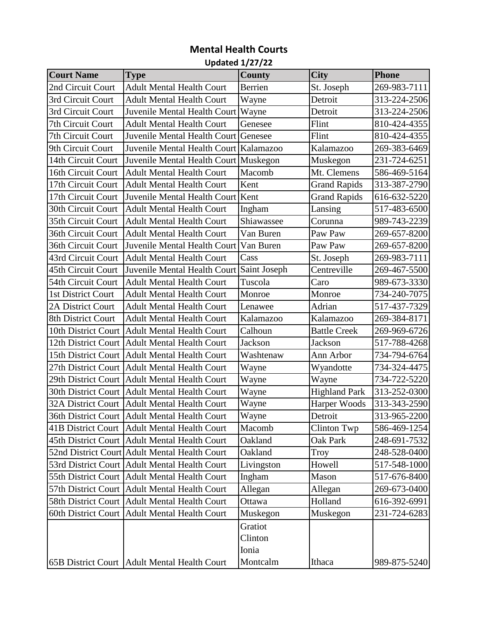## **Mental Health Courts**

## **Updated 1/27/22**

| <b>Court Name</b>         | <b>Type</b>                                     | <b>County</b> | <b>City</b>          | <b>Phone</b> |
|---------------------------|-------------------------------------------------|---------------|----------------------|--------------|
| 2nd Circuit Court         | <b>Adult Mental Health Court</b>                | Berrien       | St. Joseph           | 269-983-7111 |
| 3rd Circuit Court         | <b>Adult Mental Health Court</b>                | Wayne         | Detroit              | 313-224-2506 |
| 3rd Circuit Court         | Juvenile Mental Health Court   Wayne            |               | Detroit              | 313-224-2506 |
| 7th Circuit Court         | <b>Adult Mental Health Court</b>                | Genesee       | Flint                | 810-424-4355 |
| 7th Circuit Court         | Juvenile Mental Health Court Genesee            |               | Flint                | 810-424-4355 |
| 9th Circuit Court         | Juvenile Mental Health Court Kalamazoo          |               | Kalamazoo            | 269-383-6469 |
| 14th Circuit Court        | Juvenile Mental Health Court Muskegon           |               | Muskegon             | 231-724-6251 |
| 16th Circuit Court        | <b>Adult Mental Health Court</b>                | Macomb        | Mt. Clemens          | 586-469-5164 |
| 17th Circuit Court        | <b>Adult Mental Health Court</b>                | Kent          | <b>Grand Rapids</b>  | 313-387-2790 |
| 17th Circuit Court        | Juvenile Mental Health Court Kent               |               | <b>Grand Rapids</b>  | 616-632-5220 |
| 30th Circuit Court        | <b>Adult Mental Health Court</b>                | Ingham        | Lansing              | 517-483-6500 |
| 35th Circuit Court        | <b>Adult Mental Health Court</b>                | Shiawassee    | Corunna              | 989-743-2239 |
| 36th Circuit Court        | <b>Adult Mental Health Court</b>                | Van Buren     | Paw Paw              | 269-657-8200 |
| 36th Circuit Court        | Juvenile Mental Health Court                    | Van Buren     | Paw Paw              | 269-657-8200 |
| 43rd Circuit Court        | <b>Adult Mental Health Court</b>                | Cass          | St. Joseph           | 269-983-7111 |
| 45th Circuit Court        | Juvenile Mental Health Court Saint Joseph       |               | Centreville          | 269-467-5500 |
| 54th Circuit Court        | <b>Adult Mental Health Court</b>                | Tuscola       | Caro                 | 989-673-3330 |
| 1st District Court        | <b>Adult Mental Health Court</b>                | Monroe        | Monroe               | 734-240-7075 |
| 2A District Court         | <b>Adult Mental Health Court</b>                | Lenawee       | Adrian               | 517-437-7329 |
| 8th District Court        | <b>Adult Mental Health Court</b>                | Kalamazoo     | Kalamazoo            | 269-384-8171 |
| 10th District Court       | <b>Adult Mental Health Court</b>                | Calhoun       | <b>Battle Creek</b>  | 269-969-6726 |
|                           | 12th District Court Adult Mental Health Court   | Jackson       | Jackson              | 517-788-4268 |
|                           | 15th District Court Adult Mental Health Court   | Washtenaw     | Ann Arbor            | 734-794-6764 |
| 27th District Court       | <b>Adult Mental Health Court</b>                | Wayne         | Wyandotte            | 734-324-4475 |
|                           | 29th District Court   Adult Mental Health Court | Wayne         | Wayne                | 734-722-5220 |
| 30th District Court       | <b>Adult Mental Health Court</b>                | Wayne         | <b>Highland Park</b> | 313-252-0300 |
| <b>32A District Court</b> | Adult Mental Health Court                       | Wayne         | Harper Woods         | 313-343-2590 |
|                           | 36th District Court   Adult Mental Health Court | Wayne         | Detroit              | 313-965-2200 |
|                           | 41B District Court   Adult Mental Health Court  | Macomb        | <b>Clinton Twp</b>   | 586-469-1254 |
|                           | 45th District Court Adult Mental Health Court   | Oakland       | Oak Park             | 248-691-7532 |
|                           | 52nd District Court Adult Mental Health Court   | Oakland       | Troy                 | 248-528-0400 |
|                           | 53rd District Court Adult Mental Health Court   | Livingston    | Howell               | 517-548-1000 |
|                           | 55th District Court   Adult Mental Health Court | Ingham        | Mason                | 517-676-8400 |
|                           | 57th District Court Adult Mental Health Court   | Allegan       | Allegan              | 269-673-0400 |
|                           | 58th District Court Adult Mental Health Court   | Ottawa        | Holland              | 616-392-6991 |
| 60th District Court       | <b>Adult Mental Health Court</b>                | Muskegon      | Muskegon             | 231-724-6283 |
|                           |                                                 | Gratiot       |                      |              |
|                           |                                                 | Clinton       |                      |              |
|                           |                                                 | Ionia         |                      |              |
|                           | 65B District Court   Adult Mental Health Court  | Montcalm      | Ithaca               | 989-875-5240 |